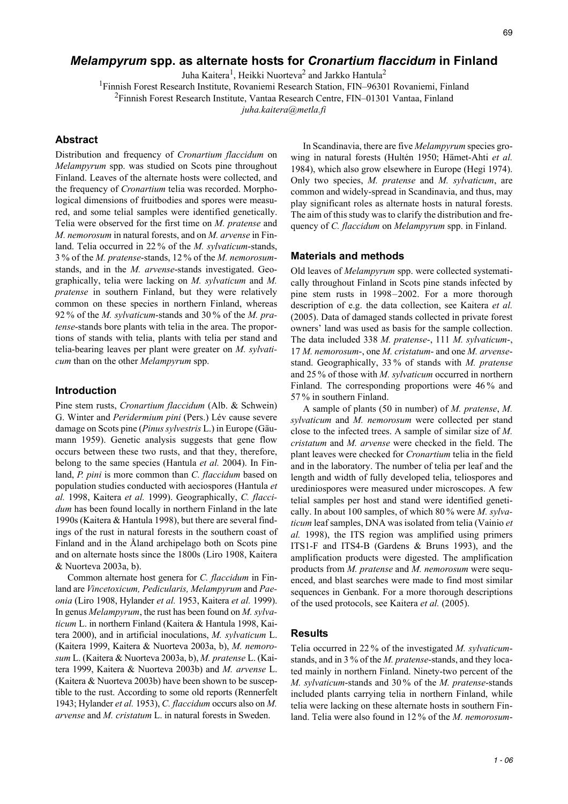# *Melampyrum* **spp. as alternate hosts for** *Cronartium flaccidum* **in Finland**

Juha Kaitera<sup>1</sup>, Heikki Nuorteva<sup>2</sup> and Jarkko Hantula<sup>2</sup>

<sup>1</sup>Finnish Forest Research Institute, Rovaniemi Research Station, FIN-96301 Rovaniemi, Finland

<sup>2</sup>Finnish Forest Research Institute, Vantaa Research Centre, FIN–01301 Vantaa, Finland

*juha.kaitera@metla.fi*

### **Abstract**

Distribution and frequency of *Cronartium flaccidum* on *Melampyrum* spp. was studied on Scots pine throughout Finland. Leaves of the alternate hosts were collected, and the frequency of *Cronartium* telia was recorded. Morphological dimensions of fruitbodies and spores were measured, and some telial samples were identified genetically. Telia were observed for the first time on *M. pratense* and *M. nemorosum* in natural forests, and on *M. arvense* in Finland. Telia occurred in 22 % of the *M. sylvaticum*-stands, 3 % of the *M. pratense*-stands, 12 % of the *M. nemorosum*stands, and in the *M. arvense*-stands investigated. Geographically, telia were lacking on *M. sylvaticum* and *M. pratense* in southern Finland, but they were relatively common on these species in northern Finland, whereas 92 % of the *M. sylvaticum*-stands and 30 % of the *M. pratense*-stands bore plants with telia in the area. The proportions of stands with telia, plants with telia per stand and telia-bearing leaves per plant were greater on *M. sylvaticum* than on the other *Melampyrum* spp.

#### **Introduction**

Pine stem rusts, *Cronartium flaccidum* (Alb. & Schwein) G. Winter and *Peridermium pini* (Pers.) Lév cause severe damage on Scots pine (*Pinus sylvestris* L.) in Europe (Gäumann 1959). Genetic analysis suggests that gene flow occurs between these two rusts, and that they, therefore, belong to the same species (Hantula *et al.* 2004). In Finland, *P. pini* is more common than *C. flaccidum* based on population studies conducted with aeciospores (Hantula *et al.* 1998, Kaitera *et al.* 1999). Geographically, *C. flaccidum* has been found locally in northern Finland in the late 1990s (Kaitera & Hantula 1998), but there are several findings of the rust in natural forests in the southern coast of Finland and in the Åland archipelago both on Scots pine and on alternate hosts since the 1800s (Liro 1908, Kaitera & Nuorteva 2003a, b).

Common alternate host genera for *C. flaccidum* in Finland are *Vincetoxicum, Pedicularis, Melampyrum* and *Paeonia* (Liro 1908, Hylander *et al.* 1953, Kaitera *et al.* 1999). In genus *Melampyrum*, the rust has been found on *M. sylvaticum* L. in northern Finland (Kaitera & Hantula 1998, Kaitera 2000), and in artificial inoculations, *M. sylvaticum* L. (Kaitera 1999, Kaitera & Nuorteva 2003a, b), *M. nemorosum* L. (Kaitera & Nuorteva 2003a, b), *M. pratense* L. (Kaitera 1999, Kaitera & Nuorteva 2003b) and *M. arvense* L. (Kaitera & Nuorteva 2003b) have been shown to be susceptible to the rust. According to some old reports (Rennerfelt 1943; Hylander *et al.* 1953), *C. flaccidum* occurs also on *M. arvense* and *M. cristatum* L. in natural forests in Sweden.

In Scandinavia, there are five *Melampyrum* species growing in natural forests (Hultén 1950; Hämet-Ahti *et al.* 1984), which also grow elsewhere in Europe (Hegi 1974). Only two species, *M. pratense* and *M. sylvaticum*, are common and widely-spread in Scandinavia, and thus, may play significant roles as alternate hosts in natural forests. The aim of this study was to clarify the distribution and frequency of *C. flaccidum* on *Melampyrum* spp. in Finland.

#### **Materials and methods**

Old leaves of *Melampyrum* spp. were collected systematically throughout Finland in Scots pine stands infected by pine stem rusts in 1998–2002. For a more thorough description of e.g. the data collection, see Kaitera *et al.* (2005). Data of damaged stands collected in private forest owners' land was used as basis for the sample collection. The data included 338 *M. pratense*-, 111 *M. sylvaticum*-, 17 *M. nemorosum*-, one *M. cristatum*- and one *M. arvense*stand. Geographically, 33 % of stands with *M. pratense* and 25 % of those with *M. sylvaticum* occurred in northern Finland. The corresponding proportions were 46 % and 57 % in southern Finland.

A sample of plants (50 in number) of *M. pratense*, *M. sylvaticum* and *M. nemorosum* were collected per stand close to the infected trees. A sample of similar size of *M. cristatum* and *M. arvense* were checked in the field. The plant leaves were checked for *Cronartium* telia in the field and in the laboratory. The number of telia per leaf and the length and width of fully developed telia, teliospores and urediniospores were measured under microscopes. A few telial samples per host and stand were identified genetically. In about 100 samples, of which 80 % were *M. sylvaticum* leaf samples, DNA was isolated from telia (Vainio *et al.* 1998), the ITS region was amplified using primers ITS1-F and ITS4-B (Gardens & Bruns 1993), and the amplification products were digested. The amplification products from *M. pratense* and *M. nemorosum* were sequenced, and blast searches were made to find most similar sequences in Genbank. For a more thorough descriptions of the used protocols, see Kaitera *et al.* (2005).

#### **Results**

Telia occurred in 22 % of the investigated *M. sylvaticum*stands, and in 3 % of the *M. pratense*-stands, and they located mainly in northern Finland. Ninety-two percent of the *M. sylvaticum*-stands and 30 % of the *M. pratense*-stands included plants carrying telia in northern Finland, while telia were lacking on these alternate hosts in southern Finland. Telia were also found in 12 % of the *M. nemorosum*-